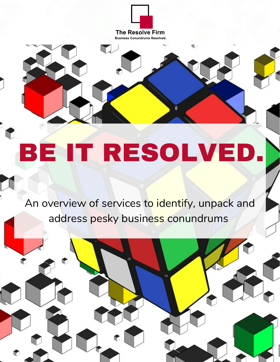

a.

## BE IT RESOLVED.

An overview of services to identify, unpack and address pesky business conundrums